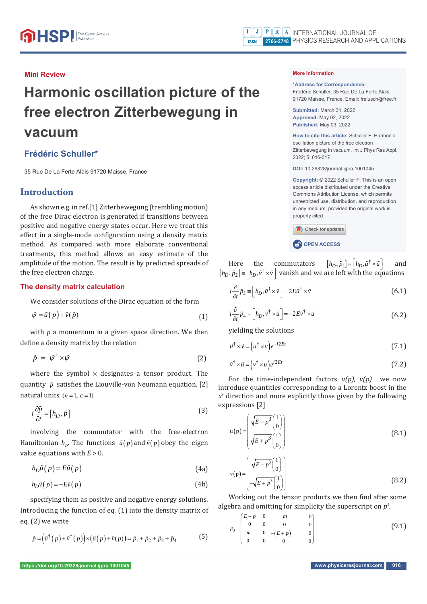#### **Mini Review**

# **Harmonic oscillation picture of the free electron Zitterbewegung in vacuum**

## **Frédéric Schuller\***

35 Rue De La Ferte Alais 91720 Maisse, France

## **Introduction**

As shown e.g. in ref.[1] Zitterbewegung (trembling motion) of the free Dirac electron is generated if transitions between positive and negative energy states occur. Here we treat this effect in a single-mode configuration using a density matrix method. As compared with more elaborate conventional treatments, this method allows an easy estimate of the amplitude of the motion. The result is by predicted spreads of the free electron charge.

#### **The density matrix calculation**

We consider solutions of the Dirac equation of the form

$$
\tilde{\psi} = \tilde{u}(p) + \tilde{v}(\tilde{p})
$$
\n(1)

with  $p$  a momentum in a given space direction. We then define a density matrix by the relation

$$
\tilde{p} = \tilde{\psi}^{\dagger} \times \tilde{\psi} \tag{2}
$$

where the symbol  $\times$  designates a tensor product. The quantity  $\tilde{p}$  satisfies the Liouville-von Neumann equation, [2] natural units  $(h=1, c=1)$ 

$$
i\frac{\partial \tilde{p}}{\partial t} = [h_D, \tilde{p}]
$$
\n(3)

involving the commutator with the free-electron Hamiltonian  $h_p$ . The functions  $\tilde{u}(p)$  and  $\tilde{v}(p)$  obey the eigen value equations with  $E > 0$ .

 $h_D \tilde{u}(p) = E \tilde{u}(p)$  (4a)

$$
h_D \tilde{\nu}(p) = -E\tilde{\nu}(p) \tag{4b}
$$

specifying them as positive and negative energy solutions. Introducing the function of eq. (1) into the density matrix of eq. (2) we write

$$
\tilde{p} = (\tilde{u}^{\dagger}(p) + \tilde{v}^{\dagger}(p)) \times (\tilde{u}(p) + \tilde{v}(p)) = \tilde{p}_1 + \tilde{p}_2 + \tilde{p}_3 + \tilde{p}_4
$$
\n(5)

#### **More Information**

**\*Address for Correspondence:**  Frédéric Schuller, 35 Rue De La Ferte Alais 91720 Maisse, France, Email: frelusch@free.fr

**Submitted:** March 31, 2022 **Approved:** May 02, 2022 **Published:** May 03, 2022

**How to cite this article:** Schuller F. Harmonic oscillation picture of the free electron Zitterbewegung in vacuum. Int J Phys Res Appl. 2022; 5: 016-017.

**DOI:** 10.29328/journal.ijpra.1001045

**Copyright: ©** 2022 Schuller F. This is an open access article distributed under the Creative Commons Attribution License, which permits unrestricted use, distribution, and reproduction in any medium, provided the original work is properly cited.

Check for updates **CP** OPEN ACCESS

Here the commutators  $[h_D, \tilde{p}_1] = [h_D, \tilde{u}^\dagger \times \tilde{u}]$  and  $[h_D, \tilde{p}_2] = [h_D, \tilde{v}^\dagger \times \tilde{v}]$  vanish and we are left with the equations

$$
i\frac{\partial}{\partial t}\tilde{p}_3 \equiv \left[h_D, \tilde{u}^\dagger \times \tilde{v}\right] = 2E\tilde{u}^\dagger \times \tilde{v}
$$
 (6.1)

$$
i\frac{\partial}{\partial t}\tilde{p}_4 \equiv \left[h_D, \tilde{v}^\dagger \times \tilde{u}\right] = -2E\tilde{v}^\dagger \times \tilde{u}
$$
 (6.2)

yielding the solutions

$$
\tilde{u}^{\dagger} \times \tilde{v} = (u^{\dagger} \times v) e^{-i2Et} \tag{7.1}
$$

$$
\tilde{v}^{\dagger} \times \tilde{u} = (v^{\dagger} \times u) e^{i2Et} \tag{7.2}
$$

For the time-independent factors *u(p), v(p)* we now introduce quantities corresponding to a Lorentz boost in the *x*3 direction and more explicitly those given by the following expressions [2]

$$
u(p) = \begin{pmatrix} \sqrt{E - p^3} \begin{pmatrix} 1 \\ 0 \end{pmatrix} \\ \sqrt{E + p^3} \begin{pmatrix} 1 \\ 0 \end{pmatrix} \end{pmatrix}
$$
\n
$$
v(p) = \begin{pmatrix} \sqrt{E - p^3} \begin{pmatrix} 1 \\ 0 \end{pmatrix} \\ -\sqrt{E + p^3} \begin{pmatrix} 1 \\ 0 \end{pmatrix} \end{pmatrix}
$$
\n(8.2)

Working out the tensor products we then find after some algebra and omitting for simplicity the superscript on  $p^3$ . *.*

$$
\rho_3 = \begin{pmatrix} E - p & 0 & m & 0 \\ 0 & 0 & 0 & 0 \\ -m & 0 & -(E + p) & 0 \\ 0 & 0 & 0 & 0 \end{pmatrix}
$$
 (9.1)